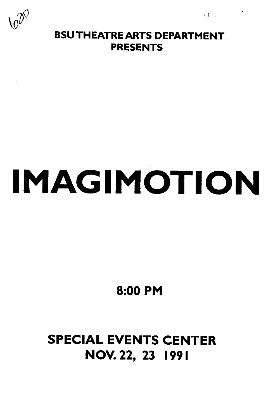**四** 化二甲基



### BSU THEATRE ARTS DEPARTMENT PRESENTS

# IMAGIMOTION

8:00 PM

# SPECIAL EVENTS CENTER NOV. 22, 23 1991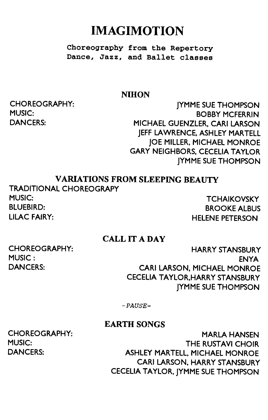## IMAGIMOTION

Choreography from the Repertory Dance, Jazz, and Ballet classes

#### **NIHON**

CHOREOGRAPHY: MUSIC: DANCERS:

JYMME SUE THOMPSON BOBBY MCFERRIN MICHAEL GUENZLER, CARl LARSON JEFF LAWRENCE, ASHLEY MARTELL JOE MILLER, MICHAEL MONROE GARY NEIGHBORS, CECELIA TAYLOR JYMME SUE THOMPSON

#### VARIATIONS FROM SLEEPING BEAUTY

TRADITIONAL CHOREOGRAPY MUSIC: TCHAIKOVSKY BLUEBIRD: BROOKE ALBUS LILAC FAIRY:

HELENE PETERSON

#### CALL IT A DAY

CHOREOGRAPHY: MUSIC: DANCERS:

HARRY STANSBURY ENYA CARl LARSON, MICHAEL MONROE CECELIA TAYLOR,HARRY STANSBURY JYMME SUE THOMPSON

-PAUSE-

#### EARTH SONGS

CHOREOGRAPHY: MUSIC: DANCERS:

MARLA HANSEN THE RUSTAVI CHOIR ASHLEY MARTELL, MICHAEL MONROE CARl LARSON, HARRY STANSBURY CECELIA TAYLOR, JYMME SUE THOMPSON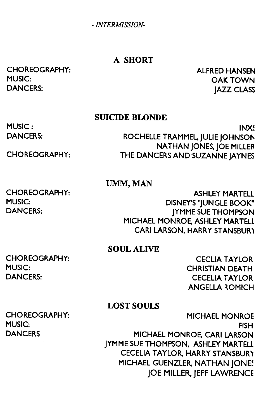- *INTERMISSION-*

#### A SHORT

CHOREOGRAPHY: MUSIC: DANCERS:

ALFRED HANSEN OAKTOWN JAZZ CLASS

#### **SUICIDE BLONDE**

MUSIC: DANCERS:

CHOREOGRAPHY:

INXS INX~ ROCHELLE TRAMMEL, JULIE JOHNSON NATHAN JONES, JOE MILLER THE DANCERS AND SUZANNE JAYNES

#### UMM, MAN

CHOREOGRAPHY: MUSIC: DANCERS:

ASHLEY MARTELl DISNEY'S "JUNGLE BOOK" JYMME SUE THOMPSON MICHAEL MONROE, ASHLEY MARTELL CARI LARSON, HARRY STANSBURY

SOUL ALIVE

CHOREOGRAPHY: MUSIC: DANCERS:

CECLIA TAYLOR CHRISTIAN DEATH CECELIA TAYLOR ANGELLA ROMICH

MICHAEL MONROE

#### LOST SOULS

CHOREOGRAPHY: MUSIC: **DANCERS** 

FISH MICHAEL MONROE, CARl LARSON JYMME SUE THOMPSON, ASHLEY MARTELL CECELIA TAYLOR, HARRY STANSBUR'Y MICHAEL GUENZLER, NATHAN JONES JOE MILLER, JEFF LAWRENCE